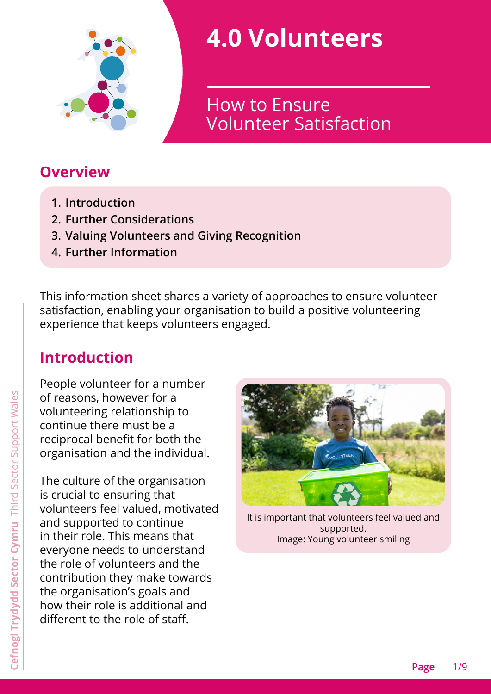

# **4.0 Volunteers**

Volunteer Satisfaction How to Ensure

### **Overview**

- **1. [Introduction](#page-0-0)**
- **2. [Further Considerations](#page-2-0)**
- **3. [Valuing Volunteers and Giving Recognition](#page-5-0)**
- **4. [Further Information](#page-7-0)**

This information sheet shares a variety of approaches to ensure volunteer satisfaction, enabling your organisation to build a positive volunteering experience that keeps volunteers engaged.

# <span id="page-0-0"></span>**Introduction**

People volunteer for a number of reasons, however for a volunteering relationship to continue there must be a reciprocal benefit for both the organisation and the individual.

The culture of the organisation is crucial to ensuring that volunteers feel valued, motivated and supported to continue in their role. This means that everyone needs to understand the role of volunteers and the contribution they make towards the organisation's goals and how their role is additional and different to the role of staff.



It is important that volunteers feel valued and supported. Image: Young volunteer smiling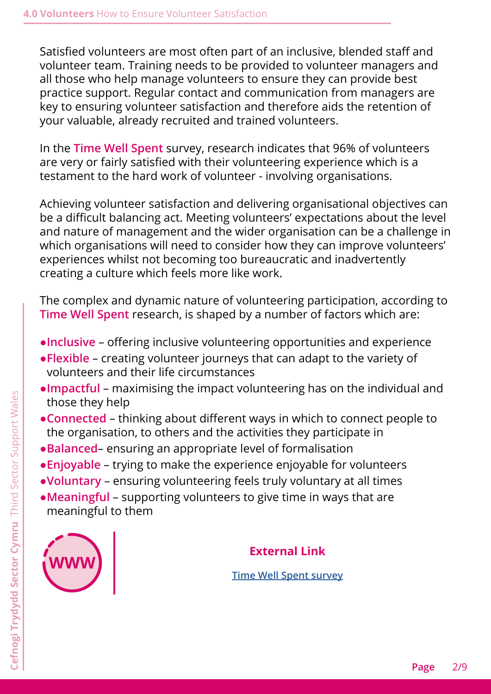Satisfied volunteers are most often part of an inclusive, blended staff and volunteer team. Training needs to be provided to volunteer managers and all those who help manage volunteers to ensure they can provide best practice support. Regular contact and communication from managers are key to ensuring volunteer satisfaction and therefore aids the retention of your valuable, already recruited and trained volunteers.

In the **Time Well Spent** survey, research indicates that 96% of volunteers are very or fairly satisfied with their volunteering experience which is a testament to the hard work of volunteer - involving organisations.

Achieving volunteer satisfaction and delivering organisational objectives can be a difficult balancing act. Meeting volunteers' expectations about the level and nature of management and the wider organisation can be a challenge in which organisations will need to consider how they can improve volunteers' experiences whilst not becoming too bureaucratic and inadvertently creating a culture which feels more like work.

The complex and dynamic nature of volunteering participation, according to **Time Well Spent** research, is shaped by a number of factors which are:

- ●**Inclusive** offering inclusive volunteering opportunities and experience
- ●**Flexible** creating volunteer journeys that can adapt to the variety of volunteers and their life circumstances
- ●**Impactful** maximising the impact volunteering has on the individual and those they help
- ●**Connected** thinking about different ways in which to connect people to the organisation, to others and the activities they participate in
- ●**Balanced** ensuring an appropriate level of formalisation
- ●**Enjoyable** trying to make the experience enjoyable for volunteers
- ●**Voluntary** ensuring volunteering feels truly voluntary at all times
- ●**Meaningful** supporting volunteers to give time in ways that are meaningful to them



#### **External Link**

**[Time Well Spent survey](https://www.ncvo.org.uk/policy-and-research/volunteering-policy/research/time-well-spent)**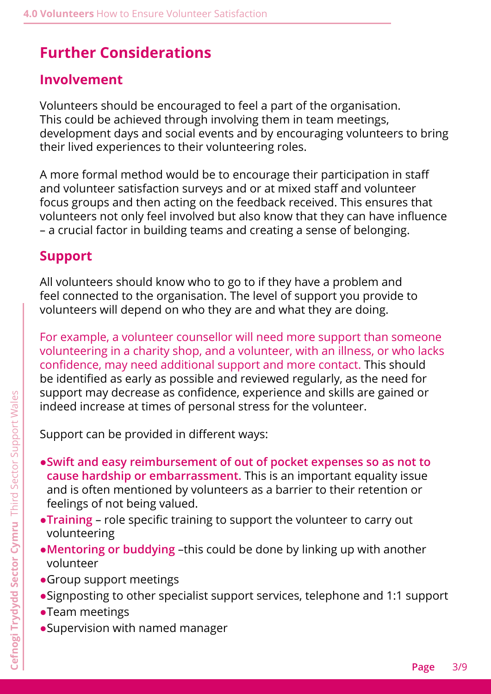# <span id="page-2-0"></span>**Further Considerations**

### **Involvement**

Volunteers should be encouraged to feel a part of the organisation. This could be achieved through involving them in team meetings, development days and social events and by encouraging volunteers to bring their lived experiences to their volunteering roles.

A more formal method would be to encourage their participation in staff and volunteer satisfaction surveys and or at mixed staff and volunteer focus groups and then acting on the feedback received. This ensures that volunteers not only feel involved but also know that they can have influence – a crucial factor in building teams and creating a sense of belonging.

### **Support**

All volunteers should know who to go to if they have a problem and feel connected to the organisation. The level of support you provide to volunteers will depend on who they are and what they are doing.

For example, a volunteer counsellor will need more support than someone volunteering in a charity shop, and a volunteer, with an illness, or who lacks confidence, may need additional support and more contact. This should be identified as early as possible and reviewed regularly, as the need for support may decrease as confidence, experience and skills are gained or indeed increase at times of personal stress for the volunteer.

Support can be provided in different ways:

- ●**Swift and easy reimbursement of out of pocket expenses so as not to cause hardship or embarrassment.** This is an important equality issue and is often mentioned by volunteers as a barrier to their retention or feelings of not being valued.
- ●**Training** role specific training to support the volunteer to carry out volunteering
- ●**Mentoring or buddying** –this could be done by linking up with another volunteer
- ●Group support meetings
- ●Signposting to other specialist support services, telephone and 1:1 support
- ●Team meetings
- ●Supervision with named manager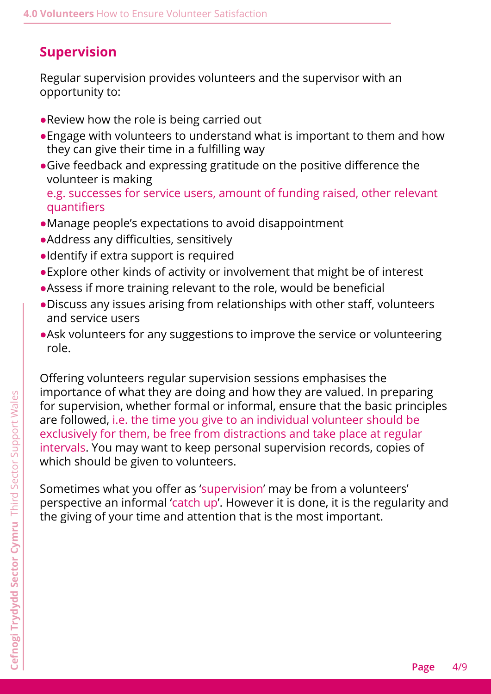### **Supervision**

Regular supervision provides volunteers and the supervisor with an opportunity to:

- ●Review how the role is being carried out
- Engage with volunteers to understand what is important to them and how they can give their time in a fulfilling way
- ●Give feedback and expressing gratitude on the positive difference the volunteer is making

e.g. successes for service users, amount of funding raised, other relevant quantifiers

- ●Manage people's expectations to avoid disappointment
- ●Address any difficulties, sensitively
- ●Identify if extra support is required
- ●Explore other kinds of activity or involvement that might be of interest
- ●Assess if more training relevant to the role, would be beneficial
- ●Discuss any issues arising from relationships with other staff, volunteers and service users
- ●Ask volunteers for any suggestions to improve the service or volunteering role.

Offering volunteers regular supervision sessions emphasises the importance of what they are doing and how they are valued. In preparing for supervision, whether formal or informal, ensure that the basic principles are followed, i.e. the time you give to an individual volunteer should be exclusively for them, be free from distractions and take place at regular intervals. You may want to keep personal supervision records, copies of which should be given to volunteers.

Sometimes what you offer as 'supervision' may be from a volunteers' perspective an informal 'catch up'. However it is done, it is the regularity and the giving of your time and attention that is the most important.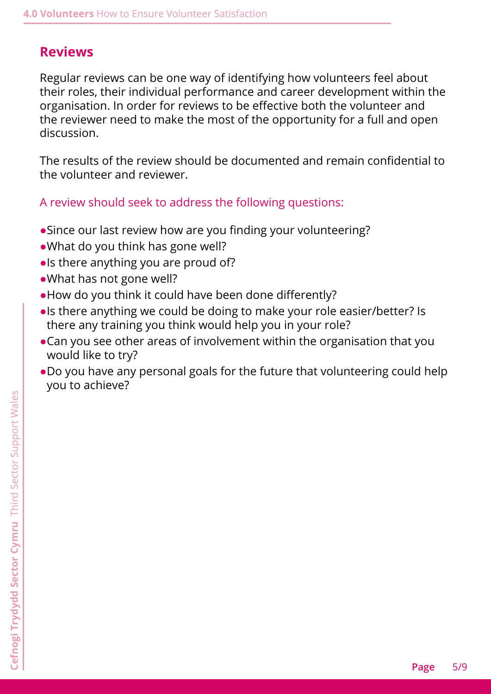#### **Reviews**

Regular reviews can be one way of identifying how volunteers feel about their roles, their individual performance and career development within the organisation. In order for reviews to be effective both the volunteer and the reviewer need to make the most of the opportunity for a full and open discussion.

The results of the review should be documented and remain confidential to the volunteer and reviewer.

A review should seek to address the following questions:

- Since our last review how are you finding your volunteering?
- •What do you think has gone well?
- ●Is there anything you are proud of?
- ●What has not gone well?
- ●How do you think it could have been done differently?
- ●Is there anything we could be doing to make your role easier/better? Is there any training you think would help you in your role?
- Can you see other areas of involvement within the organisation that you would like to try?
- ●Do you have any personal goals for the future that volunteering could help you to achieve?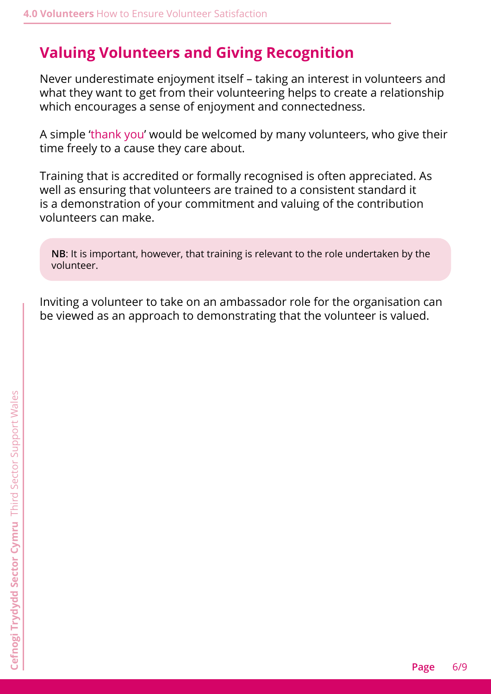### <span id="page-5-0"></span>**Valuing Volunteers and Giving Recognition**

Never underestimate enjoyment itself – taking an interest in volunteers and what they want to get from their volunteering helps to create a relationship which encourages a sense of enjoyment and connectedness.

A simple 'thank you' would be welcomed by many volunteers, who give their time freely to a cause they care about.

Training that is accredited or formally recognised is often appreciated. As well as ensuring that volunteers are trained to a consistent standard it is a demonstration of your commitment and valuing of the contribution volunteers can make.

**NB**: It is important, however, that training is relevant to the role undertaken by the volunteer.

Inviting a volunteer to take on an ambassador role for the organisation can be viewed as an approach to demonstrating that the volunteer is valued.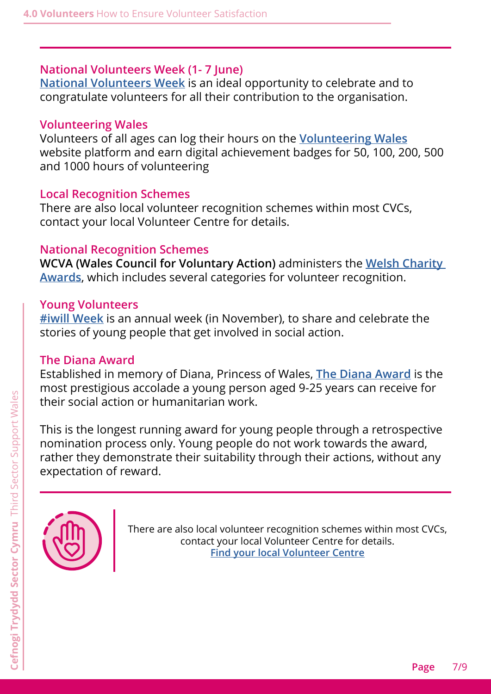#### **National Volunteers Week (1- 7 June)**

**[National Volunteers Week](https://volunteersweek.org/)** is an ideal opportunity to celebrate and to congratulate volunteers for all their contribution to the organisation.

#### **Volunteering Wales**

Volunteers of all ages can log their hours on the **[Volunteering Wales](https://volunteering-wales.net)** website platform and earn digital achievement badges for 50, 100, 200, 500 and 1000 hours of volunteering

#### **Local Recognition Schemes**

There are also local volunteer recognition schemes within most CVCs, contact your local Volunteer Centre for details.

#### **National Recognition Schemes**

**WCVA (Wales Council for Voluntary Action)** administers the **[Welsh Charity](https://welshcharityawards.cymru/)  [Awards](https://welshcharityawards.cymru/)**, which includes several categories for volunteer recognition.

#### **Young Volunteers**

**[#iwill Week](https://www.iwill.org.uk/)** is an annual week (in November), to share and celebrate the stories of young people that get involved in social action.

#### **The Diana Award**

Established in memory of Diana, Princess of Wales, **[The Diana Award](https://diana-award.org.uk/)** is the most prestigious accolade a young person aged 9-25 years can receive for their social action or humanitarian work.

This is the longest running award for young people through a retrospective nomination process only. Young people do not work towards the award, rather they demonstrate their suitability through their actions, without any expectation of reward.



There are also local volunteer recognition schemes within most CVCs, contact your local Volunteer Centre for details. **[Find your local Volunteer Centre](https://thirdsectorsupport.wales/contact/)**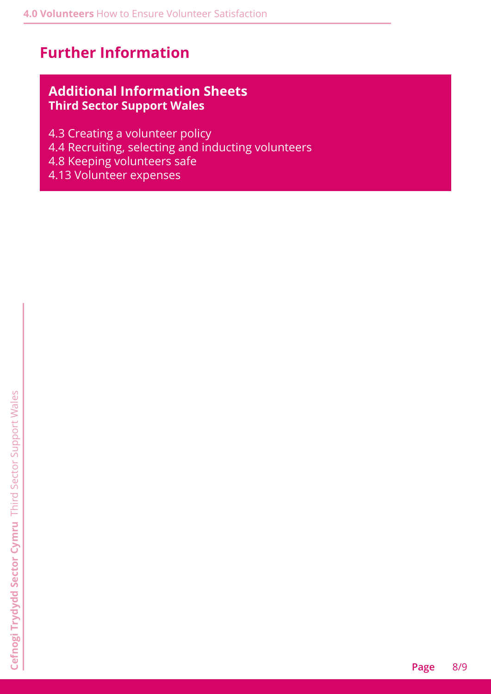### <span id="page-7-0"></span>**Further Information**

#### **Additional Information Sheets Third Sector Support Wales**

- 4.3 Creating a volunteer policy
- 4.4 Recruiting, selecting and inducting volunteers
- 4.8 Keeping volunteers safe
- 4.13 Volunteer expenses